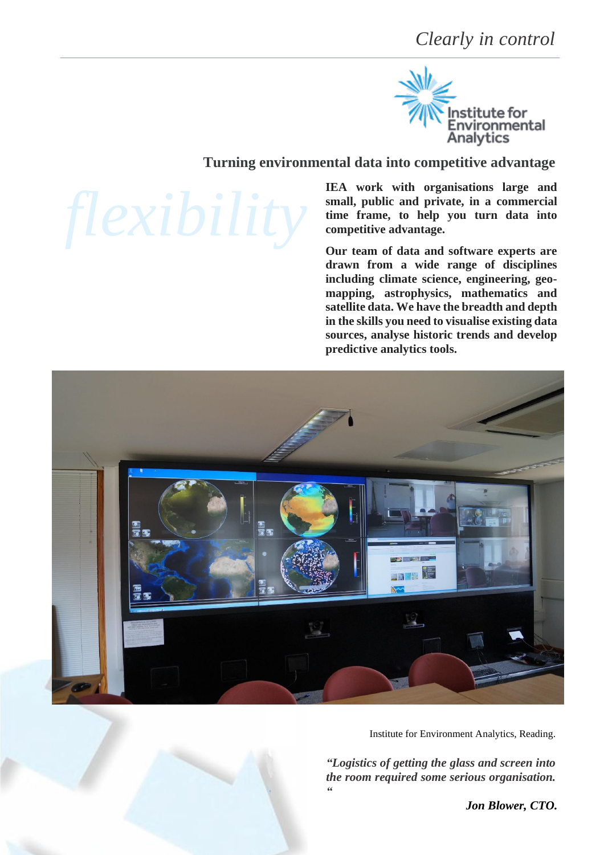*Clearly in control*



# **Turning environmental data into competitive advantage**

**IEA work with organisations large and small, public and private, in a commercial time frame, to help you turn data into competitive advantage.**

**Our team of data and software experts are drawn from a wide range of disciplines including climate science, engineering, geomapping, astrophysics, mathematics and satellite data. We have the breadth and depth in the skills you need to visualise existing data sources, analyse historic trends and develop predictive analytics tools.**



Institute for Environment Analytics, Reading.

*"Logistics of getting the glass and screen into the room required some serious organisation. "*

*Jon Blower, CTO.*